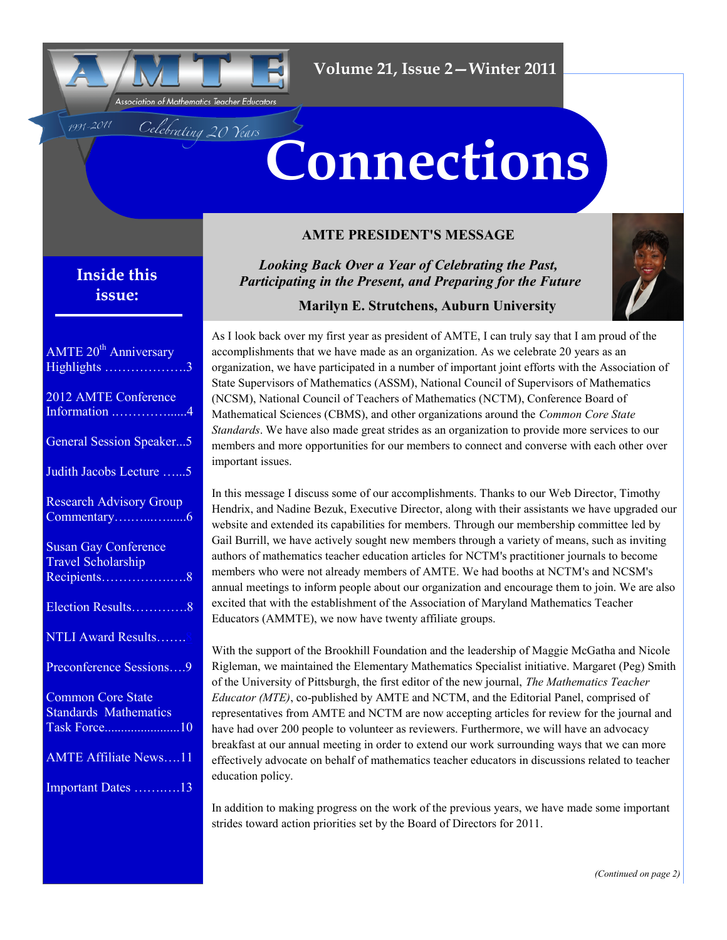

Celebrating 20 Years

# **Connections**

## **AMTE PRESIDENT'S MESSAGE**

## **Inside this issue:**

1991-2011

| <b>AMTE 20<sup>th</sup> Anniversary</b><br>Highlights 3                  |
|--------------------------------------------------------------------------|
| 2012 AMTE Conference<br>Information 4                                    |
| <b>General Session Speaker5</b>                                          |
| Judith Jacobs Lecture 5                                                  |
| <b>Research Advisory Group</b>                                           |
| <b>Susan Gay Conference</b><br><b>Travel Scholarship</b><br>Recipients8  |
| Election Results8                                                        |
| <b>NTLI Award Results</b>                                                |
| Preconference Sessions9                                                  |
| <b>Common Core State</b><br><b>Standards Mathematics</b><br>Task Force10 |
| <b>AMTE Affiliate News11</b>                                             |
| Important Dates 13                                                       |

*Looking Back Over a Year of Celebrating the Past, Participating in the Present, and Preparing for the Future*



 **Marilyn E. Strutchens, Auburn University** 

As I look back over my first year as president of AMTE, I can truly say that I am proud of the accomplishments that we have made as an organization. As we celebrate 20 years as an organization, we have participated in a number of important joint efforts with the Association of State Supervisors of Mathematics (ASSM), National Council of Supervisors of Mathematics (NCSM), National Council of Teachers of Mathematics (NCTM), Conference Board of Mathematical Sciences (CBMS), and other organizations around the *Common Core State Standards*. We have also made great strides as an organization to provide more services to our members and more opportunities for our members to connect and converse with each other over important issues.

In this message I discuss some of our accomplishments. Thanks to our Web Director, Timothy Hendrix, and Nadine Bezuk, Executive Director, along with their assistants we have upgraded our website and extended its capabilities for members. Through our membership committee led by Gail Burrill, we have actively sought new members through a variety of means, such as inviting authors of mathematics teacher education articles for NCTM's practitioner journals to become members who were not already members of AMTE. We had booths at NCTM's and NCSM's annual meetings to inform people about our organization and encourage them to join. We are also excited that with the establishment of the Association of Maryland Mathematics Teacher Educators (AMMTE), we now have twenty affiliate groups.

With the support of the Brookhill Foundation and the leadership of Maggie McGatha and Nicole Rigleman, we maintained the Elementary Mathematics Specialist initiative. Margaret (Peg) Smith of the University of Pittsburgh, the first editor of the new journal, *The Mathematics Teacher Educator (MTE)*, co-published by AMTE and NCTM, and the Editorial Panel, comprised of representatives from AMTE and NCTM are now accepting articles for review for the journal and have had over 200 people to volunteer as reviewers. Furthermore, we will have an advocacy breakfast at our annual meeting in order to extend our work surrounding ways that we can more effectively advocate on behalf of mathematics teacher educators in discussions related to teacher education policy.

In addition to making progress on the work of the previous years, we have made some important strides toward action priorities set by the Board of Directors for 2011.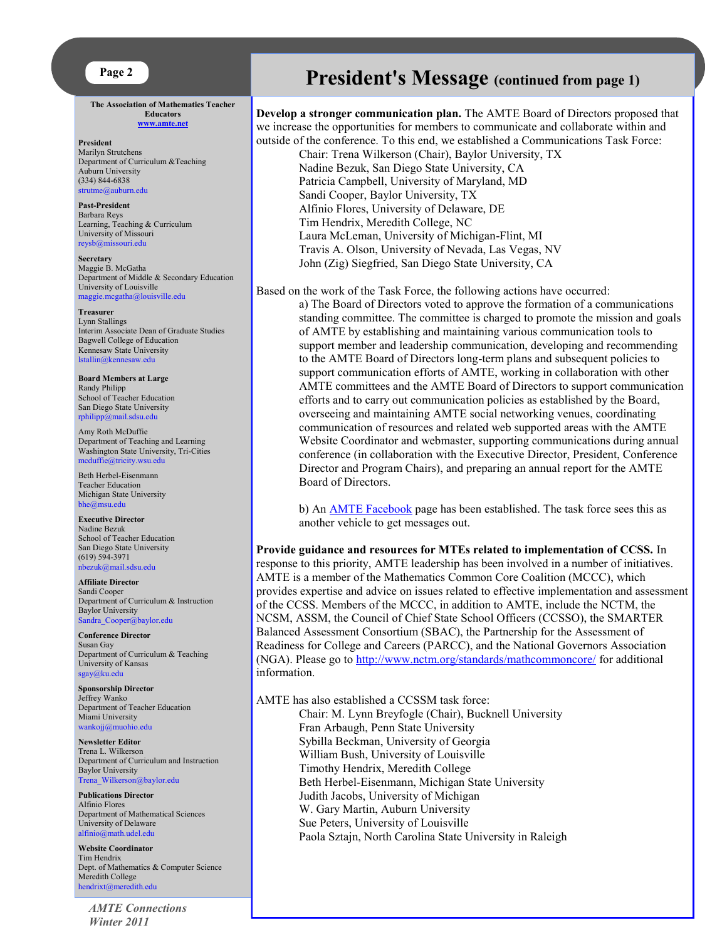**The Association of Mathematics Teacher Educators [www.amte.net](http://www.amte.net)**

**President** Marilyn Strutchens Department of Curriculum &Teaching Auburn University (334) 844-6838 [strutme@auburn.edu](mailto:strutme@auburn.edu) 

**Past-President** Barbara Reys Learning, Teaching & Curriculum University of Missouri [reysb@missouri.edu](mailto:reysb@missouri.edu)

**Secretary** Maggie B. McGatha Department of Middle & Secondary Education University of Louisville [maggie.mcgatha@louisville.edu](mailto:maggie.mcgatha@louisville.edu) 

**Treasurer** Lynn Stallings Interim Associate Dean of Graduate Studies Bagwell College of Education Kennesaw State University [lstallin@kennesaw.edu](mailto:lstallin@kennesaw.edu)

**Board Members at Large** Randy Philipp School of Teacher Education San Diego State University [rphilipp@mail.sdsu.edu](mailto:rphilipp@mail.sdsu.edu)

Amy Roth McDuffie Department of Teaching and Learning Washington State University, Tri-Cities [mcduffie@tricity.wsu.edu](mailto:mcduffie@tricity.wsu.edu)

Beth Herbel-Eisenmann Teacher Education Michigan State University [bhe@msu.edu](mailto:bhe@msu.edu)

**Executive Director** Nadine Bezuk School of Teacher Education San Diego State University (619) 594-3971 [nbezuk@mail.sdsu.edu](mailto:nbezuk@mail.sdsu.edu)

**Affiliate Director** Sandi Cooper Department of Curriculum & Instruction Baylor University [Sandra\\_Cooper@baylor.edu](mailto:Sandra_Cooper@baylor.edu)

**Conference Director** Susan Gay Department of Curriculum & Teaching University of Kansas [sgay@ku.edu](mailto:sgay@ku.edu)

**Sponsorship Director** Jeffrey Wanko Department of Teacher Education Miami University [wankojj@muohio.edu](mailto:wankojj@muohio.edu)

**Newsletter Editor** Trena L. Wilkerson Department of Curriculum and Instruction Baylor University [Trena\\_Wilkerson@baylor.edu](mailto:Trena_Wilkerson@baylor.edu)

**Publications Director** Alfinio Flores Department of Mathematical Sciences University of Delaware [alfinio@math.udel.edu](mailto:alfinio@math.udel.edu)

**Website Coordinator** Tim Hendrix Dept. of Mathematics & Computer Science Meredith College [hendrixt@meredith.edu](mailto:hendrixt@meredith.edu)

*AMTE Connections Winter 2011*

## **President's Message (continued from page 1)**

#### **Develop a stronger communication plan.** The AMTE Board of Directors proposed that we increase the opportunities for members to communicate and collaborate within and outside of the conference. To this end, we established a Communications Task Force:

Chair: Trena Wilkerson (Chair), Baylor University, TX Nadine Bezuk, San Diego State University, CA Patricia Campbell, University of Maryland, MD Sandi Cooper, Baylor University, TX Alfinio Flores, University of Delaware, DE Tim Hendrix, Meredith College, NC Laura McLeman, University of Michigan-Flint, MI Travis A. Olson, University of Nevada, Las Vegas, NV John (Zig) Siegfried, San Diego State University, CA

Based on the work of the Task Force, the following actions have occurred:

a) The Board of Directors voted to approve the formation of a communications standing committee. The committee is charged to promote the mission and goals of AMTE by establishing and maintaining various communication tools to support member and leadership communication, developing and recommending to the AMTE Board of Directors long-term plans and subsequent policies to support communication efforts of AMTE, working in collaboration with other AMTE committees and the AMTE Board of Directors to support communication efforts and to carry out communication policies as established by the Board, overseeing and maintaining AMTE social networking venues, coordinating communication of resources and related web supported areas with the AMTE Website Coordinator and webmaster, supporting communications during annual conference (in collaboration with the Executive Director, President, Conference Director and Program Chairs), and preparing an annual report for the AMTE Board of Directors.

b) An [AMTE Facebook](http://www.facebook.com/pages/Association-of-Mathematics-Teacher-Educators-AMTE/132414036838200) page has been established. The task force sees this as another vehicle to get messages out.

**Provide guidance and resources for MTEs related to implementation of CCSS.** In response to this priority, AMTE leadership has been involved in a number of initiatives. AMTE is a member of the Mathematics Common Core Coalition (MCCC), which provides expertise and advice on issues related to effective implementation and assessment of the CCSS. Members of the MCCC, in addition to AMTE, include the NCTM, the NCSM, ASSM, the Council of Chief State School Officers (CCSSO), the SMARTER Balanced Assessment Consortium (SBAC), the Partnership for the Assessment of Readiness for College and Careers (PARCC), and the National Governors Association (NGA). Please go to <http://www.nctm.org/standards/mathcommoncore/> for additional information.

AMTE has also established a CCSSM task force:

Chair: M. Lynn Breyfogle (Chair), Bucknell University Fran Arbaugh, Penn State University Sybilla Beckman, University of Georgia William Bush, University of Louisville Timothy Hendrix, Meredith College Beth Herbel-Eisenmann, Michigan State University Judith Jacobs, University of Michigan W. Gary Martin, Auburn University Sue Peters, University of Louisville Paola Sztajn, North Carolina State University in Raleigh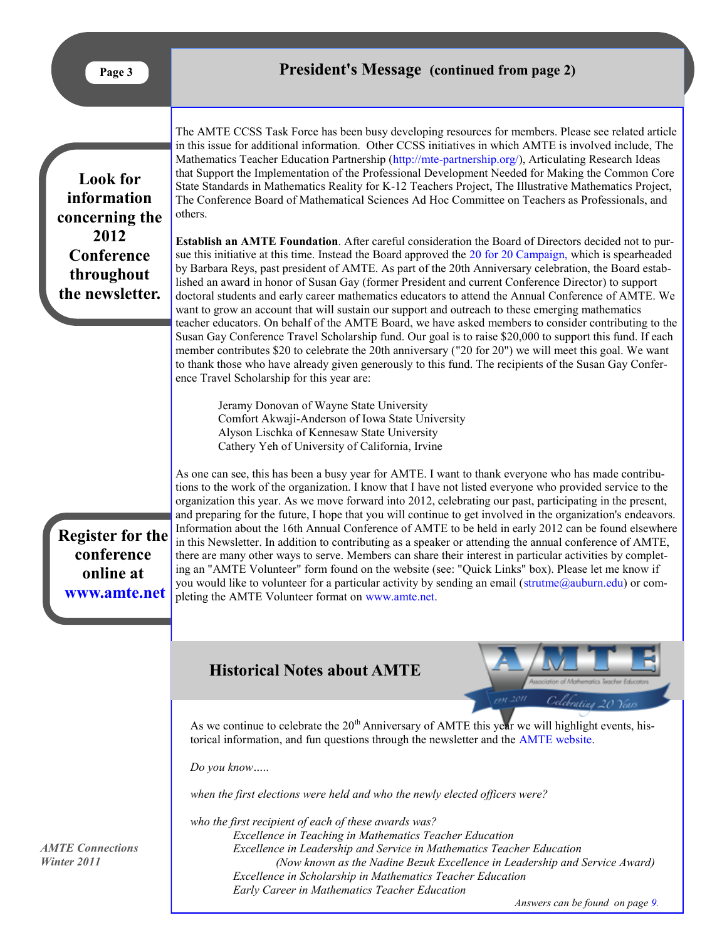<span id="page-2-0"></span>**Look for information concerning the 2012 Conference throughout the newsletter.**

The AMTE CCSS Task Force has been busy developing resources for members. Please see related article in this issue for additional information. Other CCSS initiatives in which AMTE is involved include, The Mathematics Teacher Education Partnership ([http://mte-partnership.org/\)](http://mte-partnership.org/), Articulating Research Ideas that Support the Implementation of the Professional Development Needed for Making the Common Core State Standards in Mathematics Reality for K-12 Teachers Project, The Illustrative Mathematics Project, The Conference Board of Mathematical Sciences Ad Hoc Committee on Teachers as Professionals, and others.

**Establish an AMTE Foundation**. After careful consideration the Board of Directors decided not to pursue this initiative at this time. Instead the Board approved the [20 for 20 Campaign,](http://amte.net/20for20) which is spearheaded by Barbara Reys, past president of AMTE. As part of the 20th Anniversary celebration, the Board established an award in honor of Susan Gay (former President and current Conference Director) to support doctoral students and early career mathematics educators to attend the Annual Conference of AMTE. We want to grow an account that will sustain our support and outreach to these emerging mathematics teacher educators. On behalf of the AMTE Board, we have asked members to consider contributing to the Susan Gay Conference Travel Scholarship fund. Our goal is to raise \$20,000 to support this fund. If each member contributes \$20 to celebrate the 20th anniversary ("20 for 20") we will meet this goal. We want to thank those who have already given generously to this fund. The recipients of the Susan Gay Conference Travel Scholarship for this year are:

Jeramy Donovan of Wayne State University Comfort Akwaji-Anderson of Iowa State University Alyson Lischka of Kennesaw State University Cathery Yeh of University of California, Irvine

**Register for the conference online at [www.amte.net](http://www.amte.net)**

As one can see, this has been a busy year for AMTE. I want to thank everyone who has made contributions to the work of the organization. I know that I have not listed everyone who provided service to the organization this year. As we move forward into 2012, celebrating our past, participating in the present, and preparing for the future, I hope that you will continue to get involved in the organization's endeavors. Information about the 16th Annual Conference of AMTE to be held in early 2012 can be found elsewhere in this Newsletter. In addition to contributing as a speaker or attending the annual conference of AMTE, there are many other ways to serve. Members can share their interest in particular activities by completing an "AMTE Volunteer" form found on the website (see: "Quick Links" box). Please let me know if you would like to volunteer for a particular activity by sending an email ([strutme@auburn.edu\)](mailto:strutme@auburn.edu) or completing the AMTE Volunteer format on [www.amte.net.](http://www.amte.net)

## **Historical Notes about AMTE**



As we continue to celebrate the  $20<sup>th</sup>$  Anniversary of AMTE this year we will highlight events, historical information, and fun questions through the newsletter and the [AMTE website.](http://www.amte.net)

*Do you know…..*

*when the first elections were held and who the newly elected officers were?*

*who the first recipient of each of these awards was? Excellence in Teaching in Mathematics Teacher Education Excellence in Leadership and Service in Mathematics Teacher Education (Now known as the Nadine Bezuk Excellence in Leadership and Service Award) Excellence in Scholarship in Mathematics Teacher Education Early Career in Mathematics Teacher Education*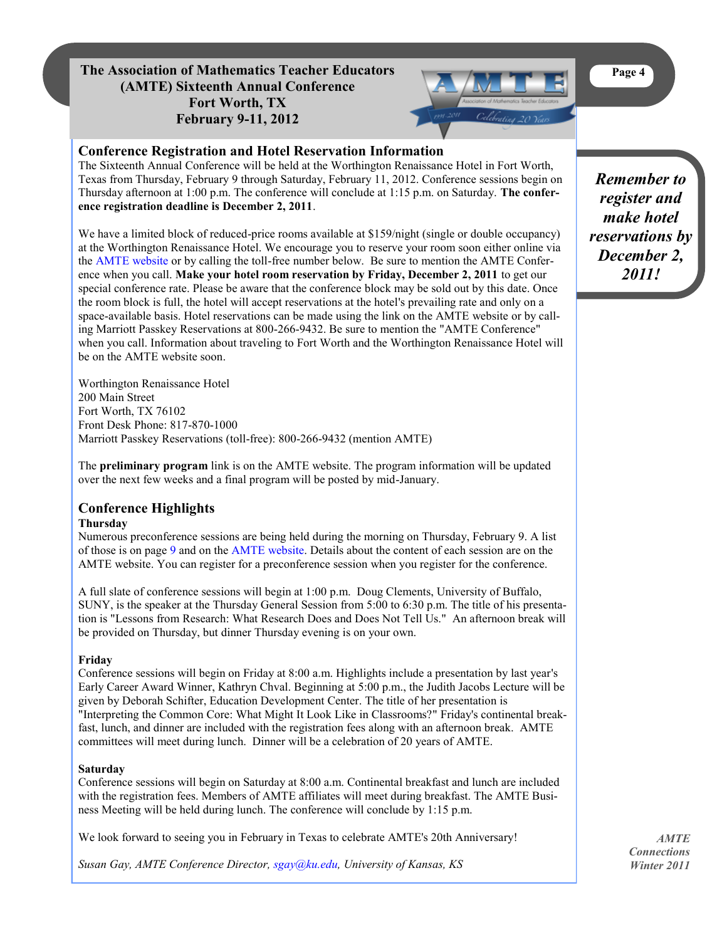## <span id="page-3-0"></span>**The Association of Mathematics Teacher Educators Page 4 (AMTE) Sixteenth Annual Conference Fort Worth, TX February 9-11, 2012**

## **Conference Registration and Hotel Reservation Information**

The Sixteenth Annual Conference will be held at the Worthington Renaissance Hotel in Fort Worth, Texas from Thursday, February 9 through Saturday, February 11, 2012. Conference sessions begin on Thursday afternoon at 1:00 p.m. The conference will conclude at 1:15 p.m. on Saturday. **The conference registration deadline is December 2, 2011**.

We have a limited block of reduced-price rooms available at \$159/night (single or double occupancy) at the Worthington Renaissance Hotel. We encourage you to reserve your room soon either online via the [AMTE website](http://www.amte.net) or by calling the toll-free number below. Be sure to mention the AMTE Conference when you call. **Make your hotel room reservation by Friday, December 2, 2011** to get our special conference rate. Please be aware that the conference block may be sold out by this date. Once the room block is full, the hotel will accept reservations at the hotel's prevailing rate and only on a space-available basis. Hotel reservations can be made using the link on the AMTE website or by calling Marriott Passkey Reservations at 800-266-9432. Be sure to mention the "AMTE Conference" when you call. Information about traveling to Fort Worth and the Worthington Renaissance Hotel will be on the AMTE website soon.

Worthington Renaissance Hotel 200 Main Street Fort Worth, TX 76102 Front Desk Phone: 817-870-1000 Marriott Passkey Reservations (toll-free): 800-266-9432 (mention AMTE)

The **preliminary program** link is on the AMTE website. The program information will be updated over the next few weeks and a final program will be posted by mid-January.

#### **Conference Highlights Thursday**

Numerous preconference sessions are being held during the morning on Thursday, February 9. A list of those is on page [9](#page-8-0) and on the [AMTE website.](http://www.amte.net) Details about the content of each session are on the AMTE website. You can register for a preconference session when you register for the conference.

A full slate of conference sessions will begin at 1:00 p.m. Doug Clements, University of Buffalo, SUNY, is the speaker at the Thursday General Session from 5:00 to 6:30 p.m. The title of his presentation is "Lessons from Research: What Research Does and Does Not Tell Us." An afternoon break will be provided on Thursday, but dinner Thursday evening is on your own.

## **Friday**

Conference sessions will begin on Friday at 8:00 a.m. Highlights include a presentation by last year's Early Career Award Winner, Kathryn Chval. Beginning at 5:00 p.m., the Judith Jacobs Lecture will be given by Deborah Schifter, Education Development Center. The title of her presentation is "Interpreting the Common Core: What Might It Look Like in Classrooms?" Friday's continental breakfast, lunch, and dinner are included with the registration fees along with an afternoon break. AMTE committees will meet during lunch. Dinner will be a celebration of 20 years of AMTE.

## **Saturday**

Conference sessions will begin on Saturday at 8:00 a.m. Continental breakfast and lunch are included with the registration fees. Members of AMTE affiliates will meet during breakfast. The AMTE Business Meeting will be held during lunch. The conference will conclude by 1:15 p.m.

We look forward to seeing you in February in Texas to celebrate AMTE's 20th Anniversary!

*Susan Gay, AMTE Conference Director, [sgay@ku.edu,](mailto:sgay@ku.edu) University of Kansas, KS*

*Remember to register and make hotel reservations by December 2, 2011!*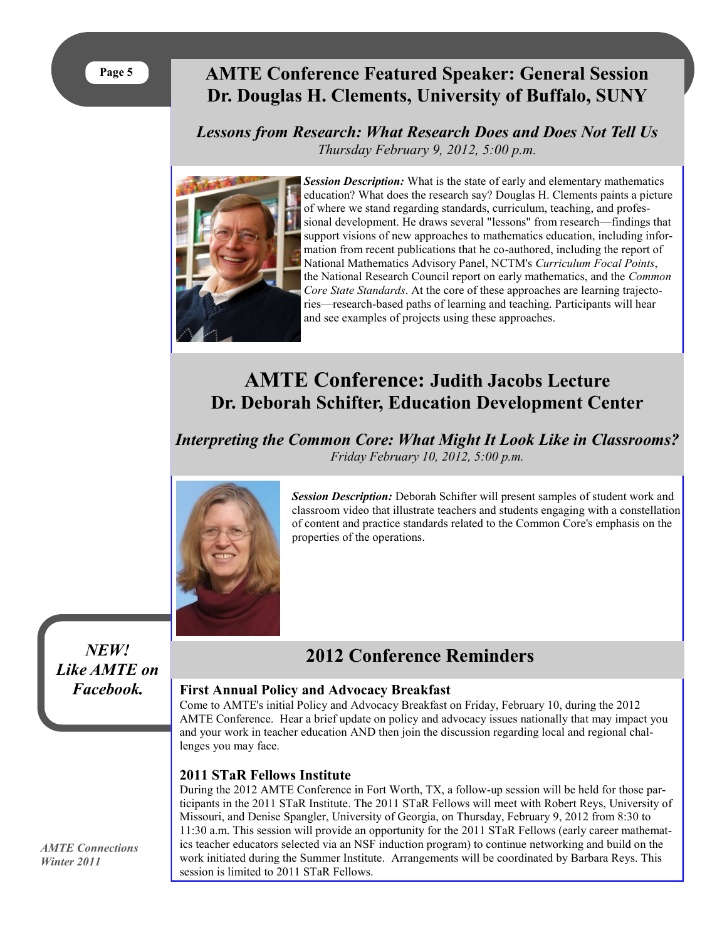## <span id="page-4-0"></span>**AMTE Conference Featured Speaker: General Session Dr. Douglas H. Clements, University of Buffalo, SUNY**

## *Lessons from Research: What Research Does and Does Not Tell Us Thursday February 9, 2012, 5:00 p.m.*



*Session Description:* What is the state of early and elementary mathematics education? What does the research say? Douglas H. Clements paints a picture of where we stand regarding standards, curriculum, teaching, and professional development. He draws several "lessons" from research—findings that support visions of new approaches to mathematics education, including information from recent publications that he co-authored, including the report of National Mathematics Advisory Panel, NCTM's *Curriculum Focal Points*, the National Research Council report on early mathematics, and the *Common Core State Standards*. At the core of these approaches are learning trajectories—research-based paths of learning and teaching. Participants will hear and see examples of projects using these approaches.

## **AMTE Conference: Judith Jacobs Lecture Dr. Deborah Schifter, Education Development Center**

*Interpreting the Common Core: What Might It Look Like in Classrooms? Friday February 10, 2012, 5:00 p.m.*



*Session Description:* Deborah Schifter will present samples of student work and classroom video that illustrate teachers and students engaging with a constellation of content and practice standards related to the Common Core's emphasis on the properties of the operations.

*NEW! Like AMTE on Facebook.*

## **2012 Conference Reminders**

## **First Annual Policy and Advocacy Breakfast**

Come to AMTE's initial Policy and Advocacy Breakfast on Friday, February 10, during the 2012 AMTE Conference. Hear a brief update on policy and advocacy issues nationally that may impact you and your work in teacher education AND then join the discussion regarding local and regional challenges you may face.

## **2011 STaR Fellows Institute**

During the 2012 AMTE Conference in Fort Worth, TX, a follow-up session will be held for those participants in the 2011 STaR Institute. The 2011 STaR Fellows will meet with Robert Reys, University of Missouri, and Denise Spangler, University of Georgia, on Thursday, February 9, 2012 from 8:30 to 11:30 a.m. This session will provide an opportunity for the 2011 STaR Fellows (early career mathematics teacher educators selected via an NSF induction program) to continue networking and build on the work initiated during the Summer Institute. Arrangements will be coordinated by Barbara Reys. This session is limited to 2011 STaR Fellows.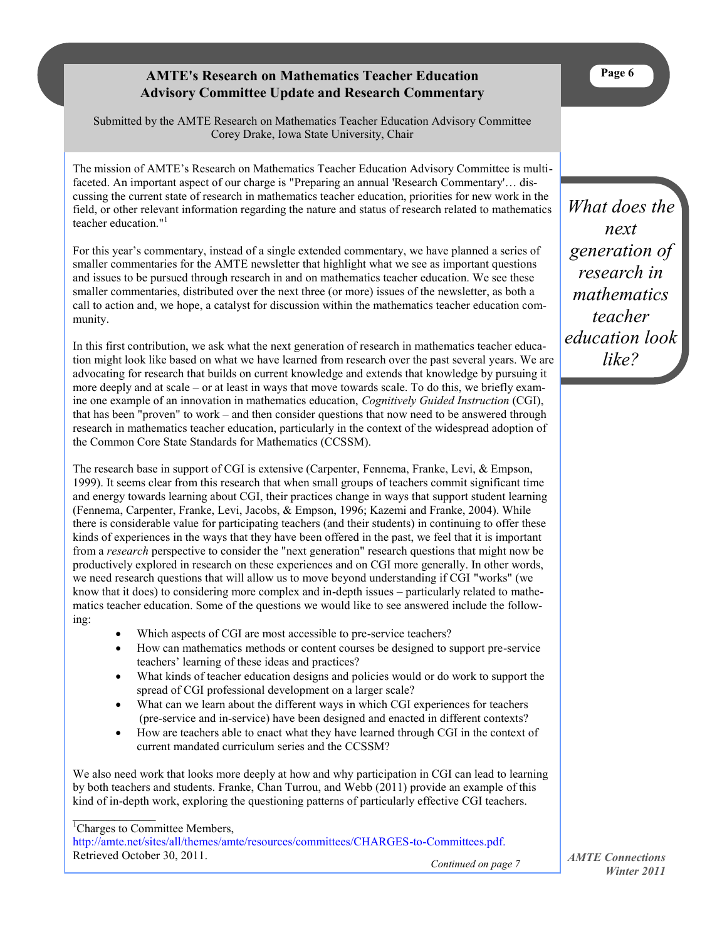## **AMTE's Research on Mathematics Teacher Education Advisory Committee Update and Research Commentary**

<span id="page-5-0"></span>Submitted by the AMTE Research on Mathematics Teacher Education Advisory Committee Corey Drake, Iowa State University, Chair

The mission of AMTE's Research on Mathematics Teacher Education Advisory Committee is multifaceted. An important aspect of our charge is "Preparing an annual 'Research Commentary'… discussing the current state of research in mathematics teacher education, priorities for new work in the field, or other relevant information regarding the nature and status of research related to mathematics teacher education." 1

For this year's commentary, instead of a single extended commentary, we have planned a series of smaller commentaries for the AMTE newsletter that highlight what we see as important questions and issues to be pursued through research in and on mathematics teacher education. We see these smaller commentaries, distributed over the next three (or more) issues of the newsletter, as both a call to action and, we hope, a catalyst for discussion within the mathematics teacher education community.

In this first contribution, we ask what the next generation of research in mathematics teacher education might look like based on what we have learned from research over the past several years. We are advocating for research that builds on current knowledge and extends that knowledge by pursuing it more deeply and at scale – or at least in ways that move towards scale. To do this, we briefly examine one example of an innovation in mathematics education, *Cognitively Guided Instruction* (CGI), that has been "proven" to work – and then consider questions that now need to be answered through research in mathematics teacher education, particularly in the context of the widespread adoption of the Common Core State Standards for Mathematics (CCSSM).

The research base in support of CGI is extensive (Carpenter, Fennema, Franke, Levi, & Empson, 1999). It seems clear from this research that when small groups of teachers commit significant time and energy towards learning about CGI, their practices change in ways that support student learning (Fennema, Carpenter, Franke, Levi, Jacobs, & Empson, 1996; Kazemi and Franke, 2004). While there is considerable value for participating teachers (and their students) in continuing to offer these kinds of experiences in the ways that they have been offered in the past, we feel that it is important from a *research* perspective to consider the "next generation" research questions that might now be productively explored in research on these experiences and on CGI more generally. In other words, we need research questions that will allow us to move beyond understanding if CGI "works" (we know that it does) to considering more complex and in-depth issues – particularly related to mathematics teacher education. Some of the questions we would like to see answered include the following:

- Which aspects of CGI are most accessible to pre-service teachers?
- How can mathematics methods or content courses be designed to support pre-service teachers' learning of these ideas and practices?
- What kinds of teacher education designs and policies would or do work to support the spread of CGI professional development on a larger scale?
- What can we learn about the different ways in which CGI experiences for teachers (pre-service and in-service) have been designed and enacted in different contexts?
- How are teachers able to enact what they have learned through CGI in the context of current mandated curriculum series and the CCSSM?

We also need work that looks more deeply at how and why participation in CGI can lead to learning by both teachers and students. Franke, Chan Turrou, and Webb (2011) provide an example of this kind of in-depth work, exploring the questioning patterns of particularly effective CGI teachers.

<sup>1</sup>Charges to Committee Members,

<http://amte.net/sites/all/themes/amte/resources/committees/CHARGES-to-Committees.pdf.> Retrieved October 30, 2011.

*Continued on page 7*

*What does the next generation of research in mathematics teacher education look like?*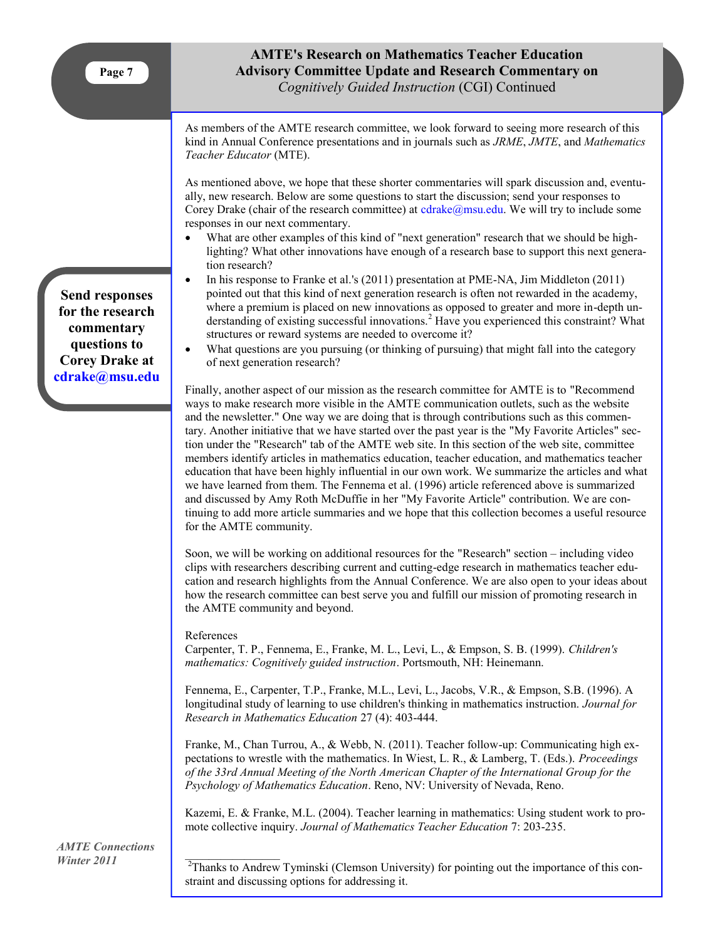## **AMTE's Research on Mathematics Teacher Education Advisory Committee Update and Research Commentary on**  *Cognitively Guided Instruction* (CGI) Continued

As members of the AMTE research committee, we look forward to seeing more research of this kind in Annual Conference presentations and in journals such as *JRME*, *JMTE*, and *Mathematics Teacher Educator* (MTE).

As mentioned above, we hope that these shorter commentaries will spark discussion and, eventually, new research. Below are some questions to start the discussion; send your responses to Corey Drake (chair of the research committee) at [cdrake@msu.edu.](mailto:cdrake@msu.edu) We will try to include some responses in our next commentary.

- What are other examples of this kind of "next generation" research that we should be highlighting? What other innovations have enough of a research base to support this next generation research?
- In his response to Franke et al.'s (2011) presentation at PME-NA, Jim Middleton (2011) pointed out that this kind of next generation research is often not rewarded in the academy, where a premium is placed on new innovations as opposed to greater and more in-depth understanding of existing successful innovations.<sup>2</sup> Have you experienced this constraint? What structures or reward systems are needed to overcome it?
- What questions are you pursuing (or thinking of pursuing) that might fall into the category of next generation research?

Finally, another aspect of our mission as the research committee for AMTE is to "Recommend ways to make research more visible in the AMTE communication outlets, such as the website and the newsletter." One way we are doing that is through contributions such as this commentary. Another initiative that we have started over the past year is the "My Favorite Articles" section under the "Research" tab of the AMTE web site. In this section of the web site, committee members identify articles in mathematics education, teacher education, and mathematics teacher education that have been highly influential in our own work. We summarize the articles and what we have learned from them. The Fennema et al. (1996) article referenced above is summarized and discussed by Amy Roth McDuffie in her "My Favorite Article" contribution. We are continuing to add more article summaries and we hope that this collection becomes a useful resource for the AMTE community.

Soon, we will be working on additional resources for the "Research" section – including video clips with researchers describing current and cutting-edge research in mathematics teacher education and research highlights from the Annual Conference. We are also open to your ideas about how the research committee can best serve you and fulfill our mission of promoting research in the AMTE community and beyond.

#### References

Carpenter, T. P., Fennema, E., Franke, M. L., Levi, L., & Empson, S. B. (1999). *Children's mathematics: Cognitively guided instruction*. Portsmouth, NH: Heinemann.

Fennema, E., Carpenter, T.P., Franke, M.L., Levi, L., Jacobs, V.R., & Empson, S.B. (1996). A longitudinal study of learning to use children's thinking in mathematics instruction. *Journal for Research in Mathematics Education* 27 (4): 403-444.

Franke, M., Chan Turrou, A., & Webb, N. (2011). Teacher follow-up: Communicating high expectations to wrestle with the mathematics. In Wiest, L. R., & Lamberg, T. (Eds.). *Proceedings of the 33rd Annual Meeting of the North American Chapter of the International Group for the Psychology of Mathematics Education*. Reno, NV: University of Nevada, Reno.

Kazemi, E. & Franke, M.L. (2004). Teacher learning in mathematics: Using student work to promote collective inquiry. *Journal of Mathematics Teacher Education* 7: 203-235.

*AMTE Connections Winter 2011*

<sup>2</sup>Thanks to Andrew Tyminski (Clemson University) for pointing out the importance of this constraint and discussing options for addressing it.

**Send responses for the research commentary questions to Corey Drake at [cdrake@msu.edu](mailto:cdrake@msu.edu)**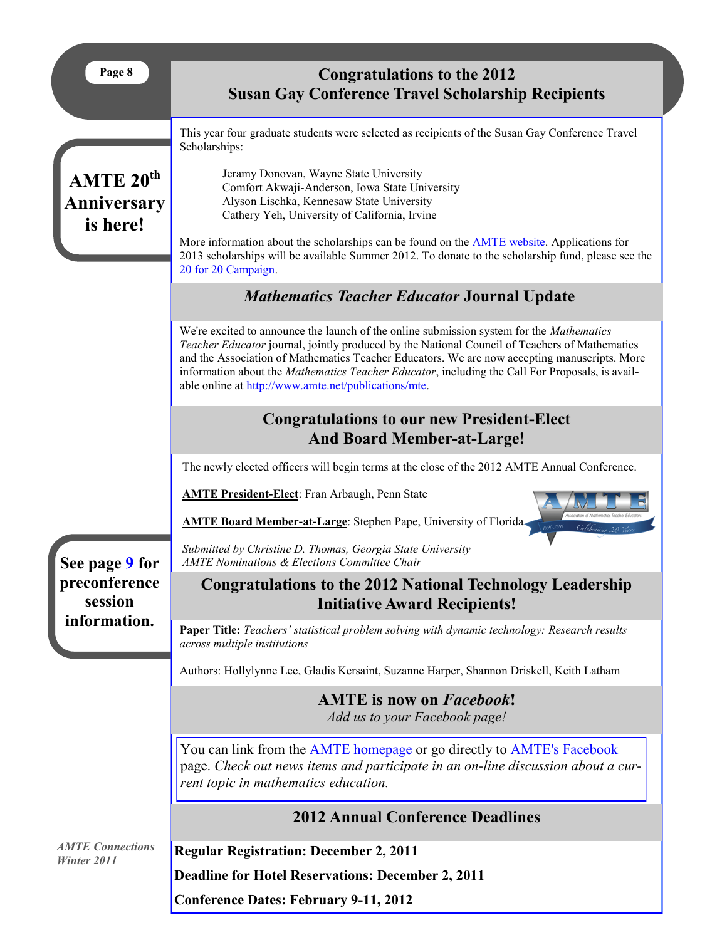<span id="page-7-0"></span>

| Page 8                                           | <b>Congratulations to the 2012</b><br><b>Susan Gay Conference Travel Scholarship Recipients</b>                                                                                                                                                                                                                                                                                                                                                      |
|--------------------------------------------------|------------------------------------------------------------------------------------------------------------------------------------------------------------------------------------------------------------------------------------------------------------------------------------------------------------------------------------------------------------------------------------------------------------------------------------------------------|
| AMTE 20 <sup>th</sup><br>Anniversary<br>is here! | This year four graduate students were selected as recipients of the Susan Gay Conference Travel<br>Scholarships:                                                                                                                                                                                                                                                                                                                                     |
|                                                  | Jeramy Donovan, Wayne State University<br>Comfort Akwaji-Anderson, Iowa State University<br>Alyson Lischka, Kennesaw State University<br>Cathery Yeh, University of California, Irvine<br>More information about the scholarships can be found on the AMTE website. Applications for                                                                                                                                                                 |
|                                                  | 2013 scholarships will be available Summer 2012. To donate to the scholarship fund, please see the<br>20 for 20 Campaign.                                                                                                                                                                                                                                                                                                                            |
|                                                  | <b>Mathematics Teacher Educator Journal Update</b>                                                                                                                                                                                                                                                                                                                                                                                                   |
|                                                  | We're excited to announce the launch of the online submission system for the Mathematics<br>Teacher Educator journal, jointly produced by the National Council of Teachers of Mathematics<br>and the Association of Mathematics Teacher Educators. We are now accepting manuscripts. More<br>information about the Mathematics Teacher Educator, including the Call For Proposals, is avail-<br>able online at http://www.amte.net/publications/mte. |
|                                                  | <b>Congratulations to our new President-Elect</b><br><b>And Board Member-at-Large!</b>                                                                                                                                                                                                                                                                                                                                                               |
|                                                  | The newly elected officers will begin terms at the close of the 2012 AMTE Annual Conference.                                                                                                                                                                                                                                                                                                                                                         |
|                                                  | <b>AMTE President-Elect:</b> Fran Arbaugh, Penn State<br><b>AMTE Board Member-at-Large:</b> Stephen Pape, University of Florida-                                                                                                                                                                                                                                                                                                                     |
| See page 9 for                                   | Submitted by Christine D. Thomas, Georgia State University<br><b>AMTE Nominations &amp; Elections Committee Chair</b>                                                                                                                                                                                                                                                                                                                                |
| preconference                                    | <b>Congratulations to the 2012 National Technology Leadership</b>                                                                                                                                                                                                                                                                                                                                                                                    |
| session<br>information.                          | <b>Initiative Award Recipients!</b><br>Paper Title: Teachers' statistical problem solving with dynamic technology: Research results<br>across multiple institutions                                                                                                                                                                                                                                                                                  |
|                                                  | Authors: Hollylynne Lee, Gladis Kersaint, Suzanne Harper, Shannon Driskell, Keith Latham                                                                                                                                                                                                                                                                                                                                                             |
|                                                  | <b>AMTE</b> is now on <i>Facebook!</i><br>Add us to your Facebook page!                                                                                                                                                                                                                                                                                                                                                                              |
|                                                  | You can link from the AMTE homepage or go directly to AMTE's Facebook<br>page. Check out news items and participate in an on-line discussion about a cur-<br>rent topic in mathematics education.                                                                                                                                                                                                                                                    |
|                                                  | <b>2012 Annual Conference Deadlines</b>                                                                                                                                                                                                                                                                                                                                                                                                              |
| <b>AMTE Connections</b><br>Winter 2011           | <b>Regular Registration: December 2, 2011</b>                                                                                                                                                                                                                                                                                                                                                                                                        |
|                                                  | <b>Deadline for Hotel Reservations: December 2, 2011</b>                                                                                                                                                                                                                                                                                                                                                                                             |
|                                                  | <b>Conference Dates: February 9-11, 2012</b>                                                                                                                                                                                                                                                                                                                                                                                                         |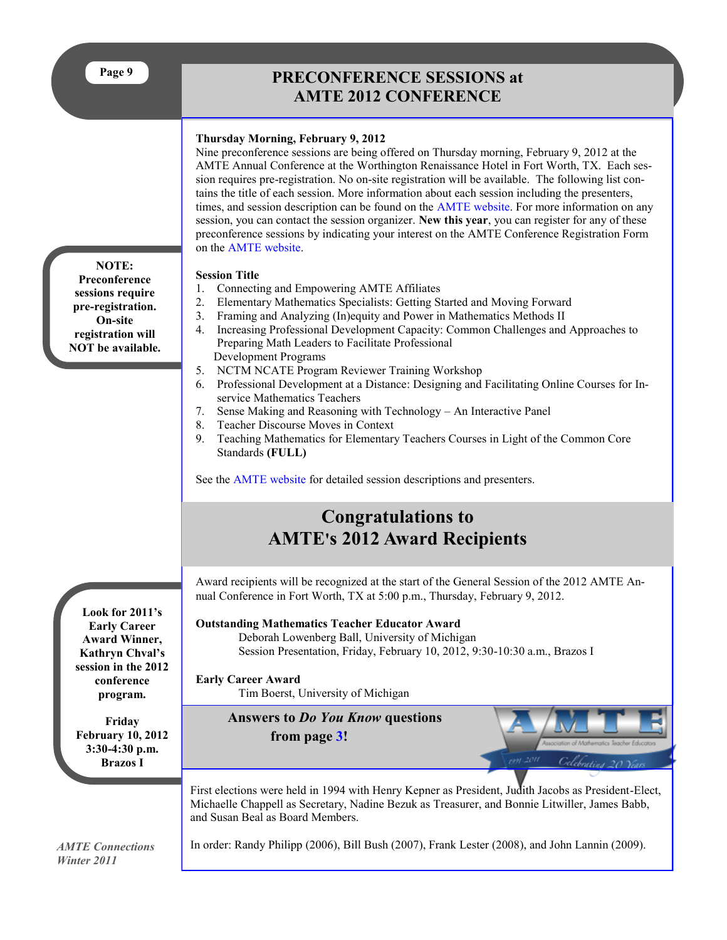## **PRECONFERENCE SESSIONS at AMTE 2012 CONFERENCE**

## <span id="page-8-0"></span>**Thursday Morning, February 9, 2012**

Nine preconference sessions are being offered on Thursday morning, February 9, 2012 at the AMTE Annual Conference at the Worthington Renaissance Hotel in Fort Worth, TX. Each session requires pre-registration. No on-site registration will be available. The following list contains the title of each session. More information about each session including the presenters, times, and session description can be found on the [AMTE website.](http://www.amte.net) For more information on any session, you can contact the session organizer. **New this year**, you can register for any of these preconference sessions by indicating your interest on the AMTE Conference Registration Form on the [AMTE website.](http://www.amte.net) 

## **Session Title**

- 1. Connecting and Empowering AMTE Affiliates
- 2. Elementary Mathematics Specialists: Getting Started and Moving Forward
- 3. Framing and Analyzing (In)equity and Power in Mathematics Methods II
- 4. Increasing Professional Development Capacity: Common Challenges and Approaches to Preparing Math Leaders to Facilitate Professional Development Programs
- 5. NCTM NCATE Program Reviewer Training Workshop
- 6. Professional Development at a Distance: Designing and Facilitating Online Courses for Inservice Mathematics Teachers
- 7. Sense Making and Reasoning with Technology An Interactive Panel
- 8. Teacher Discourse Moves in Context
- 9. Teaching Mathematics for Elementary Teachers Courses in Light of the Common Core Standards **(FULL)**

See the [AMTE website](http://www.amte.net) for detailed session descriptions and presenters.

## **Congratulations to AMTE's 2012 Award Recipients**

Award recipients will be recognized at the start of the General Session of the 2012 AMTE Annual Conference in Fort Worth, TX at 5:00 p.m., Thursday, February 9, 2012.

## **Outstanding Mathematics Teacher Educator Award**

Deborah Lowenberg Ball, University of Michigan Session Presentation, Friday, February 10, 2012, 9:30-10:30 a.m., Brazos I

## **Early Career Award**

Tim Boerst, University of Michigan

**Answers to** *Do You Know* **questions from page [3!](#page-2-0)**



First elections were held in 1994 with Henry Kepner as President, Judith Jacobs as President-Elect, Michaelle Chappell as Secretary, Nadine Bezuk as Treasurer, and Bonnie Litwiller, James Babb, and Susan Beal as Board Members.

*AMTE Connections Winter 2011*

**Look for 2011's Early Career Award Winner, Kathryn Chval's session in the 2012 conference program.**

**Friday February 10, 2012 3:30-4:30 p.m. Brazos I**

In order: Randy Philipp (2006), Bill Bush (2007), Frank Lester (2008), and John Lannin (2009).

**NOTE: Preconference sessions require pre-registration. On-site registration will NOT be available.**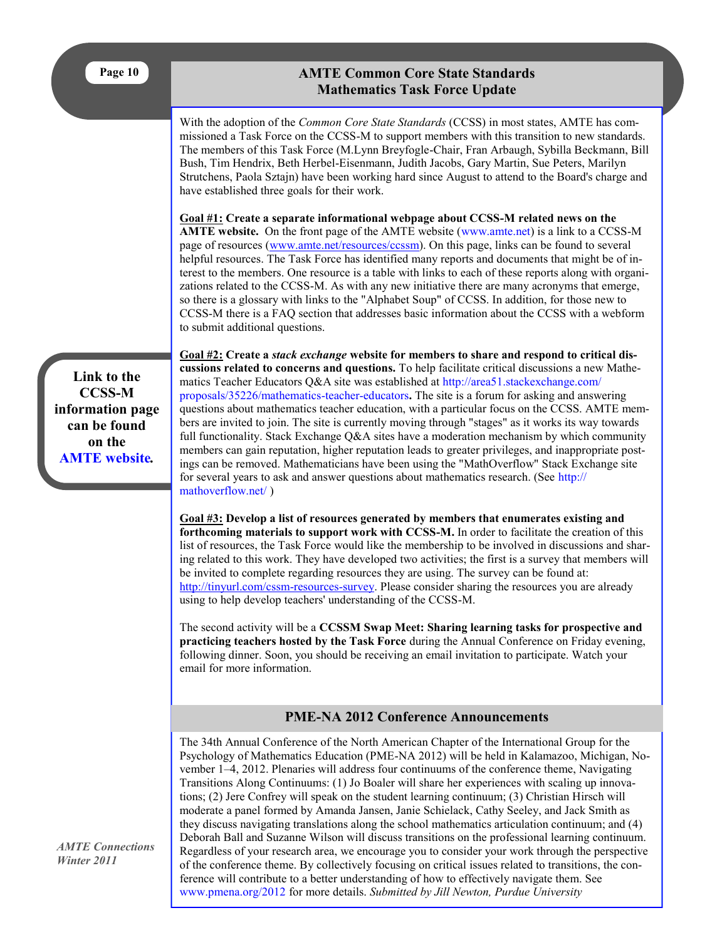## **AMTE Common Core State Standards Mathematics Task Force Update**

<span id="page-9-0"></span>With the adoption of the *Common Core State Standards* (CCSS) in most states, AMTE has commissioned a Task Force on the CCSS-M to support members with this transition to new standards. The members of this Task Force (M.Lynn Breyfogle-Chair, Fran Arbaugh, Sybilla Beckmann, Bill Bush, Tim Hendrix, Beth Herbel-Eisenmann, Judith Jacobs, Gary Martin, Sue Peters, Marilyn Strutchens, Paola Sztajn) have been working hard since August to attend to the Board's charge and have established three goals for their work.

**Goal #1: Create a separate informational webpage about CCSS-M related news on the AMTE website.** On the front page of the AMTE website ([www.amte.net\)](http://www.amte.net) is a link to a CCSS-M page of resources ([www.amte.net/resources/ccssm\)](http://www.amte.net/resources/ccssm). On this page, links can be found to several helpful resources. The Task Force has identified many reports and documents that might be of interest to the members. One resource is a table with links to each of these reports along with organizations related to the CCSS-M. As with any new initiative there are many acronyms that emerge, so there is a glossary with links to the "Alphabet Soup" of CCSS. In addition, for those new to CCSS-M there is a FAQ section that addresses basic information about the CCSS with a webform to submit additional questions.

**Link to the CCSS-M information page can be found on the [AMTE website](http://www.amte.net)***.*

**Goal #2: Create a** *stack exchange* **website for members to share and respond to critical discussions related to concerns and questions.** To help facilitate critical discussions a new Mathematics Teacher Educators Q&A site was established at [http://area51.stackexchange.com/](http://area51.stackexchange.com/proposals/35226/mathematics-teacher-educators) [proposals/35226/mathematics-teacher-educators](http://area51.stackexchange.com/proposals/35226/mathematics-teacher-educators)**.** The site is a forum for asking and answering questions about mathematics teacher education, with a particular focus on the CCSS. AMTE members are invited to join. The site is currently moving through "stages" as it works its way towards full functionality. Stack Exchange Q&A sites have a moderation mechanism by which community members can gain reputation, higher reputation leads to greater privileges, and inappropriate postings can be removed. Mathematicians have been using the "MathOverflow" Stack Exchange site for several years to ask and answer questions about mathematics research. (See [http://](http://mathoverflow.net/) [mathoverflow.net/](http://mathoverflow.net/) )

**Goal #3: Develop a list of resources generated by members that enumerates existing and forthcoming materials to support work with CCSS-M.** In order to facilitate the creation of this list of resources, the Task Force would like the membership to be involved in discussions and sharing related to this work. They have developed two activities; the first is a survey that members will be invited to complete regarding resources they are using. The survey can be found at: [http://tinyurl.com/cssm-resources-survey.](http://tinyurl.com/ccssm-resources-survey) Please consider sharing the resources you are already using to help develop teachers' understanding of the CCSS-M.

The second activity will be a **CCSSM Swap Meet: Sharing learning tasks for prospective and practicing teachers hosted by the Task Force** during the Annual Conference on Friday evening, following dinner. Soon, you should be receiving an email invitation to participate. Watch your email for more information.

## **PME-NA 2012 Conference Announcements**

The 34th Annual Conference of the North American Chapter of the International Group for the Psychology of Mathematics Education (PME-NA 2012) will be held in Kalamazoo, Michigan, November 1–4, 2012. Plenaries will address four continuums of the conference theme, Navigating Transitions Along Continuums: (1) Jo Boaler will share her experiences with scaling up innovations; (2) Jere Confrey will speak on the student learning continuum; (3) Christian Hirsch will moderate a panel formed by Amanda Jansen, Janie Schielack, Cathy Seeley, and Jack Smith as they discuss navigating translations along the school mathematics articulation continuum; and (4) Deborah Ball and Suzanne Wilson will discuss transitions on the professional learning continuum. Regardless of your research area, we encourage you to consider your work through the perspective of the conference theme. By collectively focusing on critical issues related to transitions, the conference will contribute to a better understanding of how to effectively navigate them. See [www.pmena.org/2012](http://www.pmena.org/2012) for more details. *Submitted by Jill Newton, Purdue University*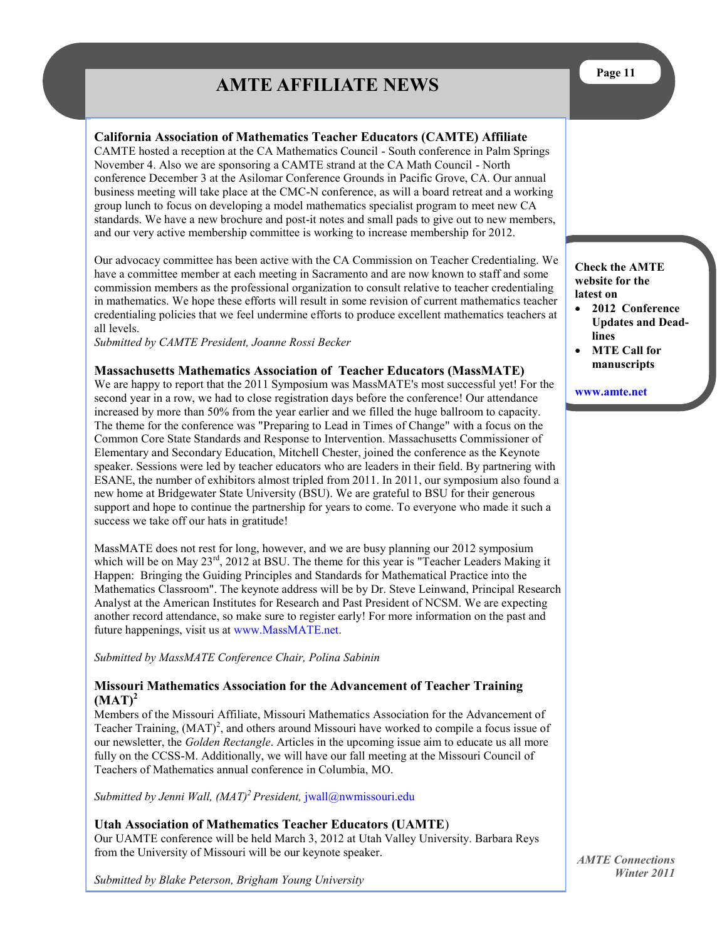## **AMTE AFFILIATE NEWS**

## <span id="page-10-0"></span>**California Association of Mathematics Teacher Educators (CAMTE) Affiliate**

CAMTE hosted a reception at the CA Mathematics Council - South conference in Palm Springs November 4. Also we are sponsoring a CAMTE strand at the CA Math Council - North conference December 3 at the Asilomar Conference Grounds in Pacific Grove, CA. Our annual business meeting will take place at the CMC-N conference, as will a board retreat and a working group lunch to focus on developing a model mathematics specialist program to meet new CA standards. We have a new brochure and post-it notes and small pads to give out to new members, and our very active membership committee is working to increase membership for 2012.

Our advocacy committee has been active with the CA Commission on Teacher Credentialing. We have a committee member at each meeting in Sacramento and are now known to staff and some commission members as the professional organization to consult relative to teacher credentialing in mathematics. We hope these efforts will result in some revision of current mathematics teacher credentialing policies that we feel undermine efforts to produce excellent mathematics teachers at all levels.

*Submitted by CAMTE President, Joanne Rossi Becker* 

#### **Massachusetts Mathematics Association of Teacher Educators (MassMATE)**

We are happy to report that the 2011 Symposium was MassMATE's most successful yet! For the second year in a row, we had to close registration days before the conference! Our attendance increased by more than 50% from the year earlier and we filled the huge ballroom to capacity. The theme for the conference was "Preparing to Lead in Times of Change" with a focus on the Common Core State Standards and Response to Intervention. Massachusetts Commissioner of Elementary and Secondary Education, Mitchell Chester, joined the conference as the Keynote speaker. Sessions were led by teacher educators who are leaders in their field. By partnering with ESANE, the number of exhibitors almost tripled from 2011. In 2011, our symposium also found a new home at Bridgewater State University (BSU). We are grateful to BSU for their generous support and hope to continue the partnership for years to come. To everyone who made it such a success we take off our hats in gratitude!

MassMATE does not rest for long, however, and we are busy planning our 2012 symposium which will be on May  $23<sup>rd</sup>$ , 2012 at BSU. The theme for this year is "Teacher Leaders Making it Happen: Bringing the Guiding Principles and Standards for Mathematical Practice into the Mathematics Classroom". The keynote address will be by Dr. Steve Leinwand, Principal Research Analyst at the American Institutes for Research and Past President of NCSM. We are expecting another record attendance, so make sure to register early! For more information on the past and future happenings, visit us at [www.MassMATE.net.](http://www.MassMATE.net)

*Submitted by MassMATE Conference Chair, Polina Sabinin*

## **Missouri Mathematics Association for the Advancement of Teacher Training (MAT)<sup>2</sup>**

Members of the Missouri Affiliate, Missouri Mathematics Association for the Advancement of Teacher Training,  $(MAT)^2$ , and others around Missouri have worked to compile a focus issue of our newsletter, the *Golden Rectangle*. Articles in the upcoming issue aim to educate us all more fully on the CCSS-M. Additionally, we will have our fall meeting at the Missouri Council of Teachers of Mathematics annual conference in Columbia, MO.

*Submitted by Jenni Wall, (MAT)<sup>2</sup>President,* [jwall@nwmissouri.edu](mailto:jwall@nwmissouri.edu)

#### **Utah Association of Mathematics Teacher Educators (UAMTE**)

Our UAMTE conference will be held March 3, 2012 at Utah Valley University. Barbara Reys from the University of Missouri will be our keynote speaker.

*Submitted by Blake Peterson, Brigham Young University*

**Check the AMTE website for the latest on** 

- **2012 Conference Updates and Deadlines**
- **MTE Call for manuscripts**

**[www.amte.net](http://www.amte.net)**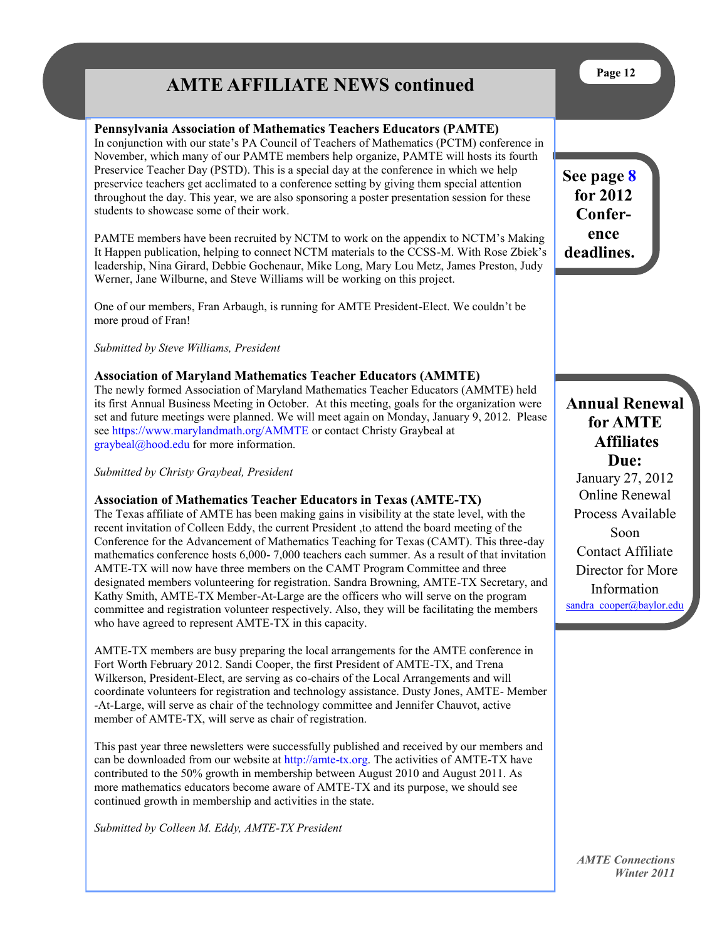## **AMTE AFFILIATE NEWS continued**

## **Pennsylvania Association of Mathematics Teachers Educators (PAMTE)**

In conjunction with our state's PA Council of Teachers of Mathematics (PCTM) conference in November, which many of our PAMTE members help organize, PAMTE will hosts its fourth Preservice Teacher Day (PSTD). This is a special day at the conference in which we help preservice teachers get acclimated to a conference setting by giving them special attention throughout the day. This year, we are also sponsoring a poster presentation session for these students to showcase some of their work.

PAMTE members have been recruited by NCTM to work on the appendix to NCTM's Making It Happen publication, helping to connect NCTM materials to the CCSS-M. With Rose Zbiek's leadership, Nina Girard, Debbie Gochenaur, Mike Long, Mary Lou Metz, James Preston, Judy Werner, Jane Wilburne, and Steve Williams will be working on this project.

One of our members, Fran Arbaugh, is running for AMTE President-Elect. We couldn't be more proud of Fran!

*Submitted by Steve Williams, President*

## **Association of Maryland Mathematics Teacher Educators (AMMTE)**

The newly formed Association of Maryland Mathematics Teacher Educators (AMMTE) held its first Annual Business Meeting in October. At this meeting, goals for the organization were set and future meetings were planned. We will meet again on Monday, January 9, 2012. Please see <https://www.marylandmath.org/AMMTE> or contact Christy Graybeal at [graybeal@hood.edu](mailto:graybeal@hood.edu) for more information.

*Submitted by Christy Graybeal, President*

## **Association of Mathematics Teacher Educators in Texas (AMTE-TX)**

The Texas affiliate of AMTE has been making gains in visibility at the state level, with the recent invitation of Colleen Eddy, the current President ,to attend the board meeting of the Conference for the Advancement of Mathematics Teaching for Texas (CAMT). This three-day mathematics conference hosts 6,000- 7,000 teachers each summer. As a result of that invitation AMTE-TX will now have three members on the CAMT Program Committee and three designated members volunteering for registration. Sandra Browning, AMTE-TX Secretary, and Kathy Smith, AMTE-TX Member-At-Large are the officers who will serve on the program committee and registration volunteer respectively. Also, they will be facilitating the members who have agreed to represent AMTE-TX in this capacity.

AMTE-TX members are busy preparing the local arrangements for the AMTE conference in Fort Worth February 2012. Sandi Cooper, the first President of AMTE-TX, and Trena Wilkerson, President-Elect, are serving as co-chairs of the Local Arrangements and will coordinate volunteers for registration and technology assistance. Dusty Jones, AMTE- Member -At-Large, will serve as chair of the technology committee and Jennifer Chauvot, active member of AMTE-TX, will serve as chair of registration.

This past year three newsletters were successfully published and received by our members and can be downloaded from our website at [http://amte-tx.org.](http://amte-tx.org) The activities of AMTE-TX have contributed to the 50% growth in membership between August 2010 and August 2011. As more mathematics educators become aware of AMTE-TX and its purpose, we should see continued growth in membership and activities in the state.

*Submitted by Colleen M. Eddy, AMTE-TX President* 

**See page [8](#page-7-0) for 2012 Conference deadlines.** 

**Annual Renewal for AMTE Affiliates Due:**

January 27, 2012 Online Renewal Process Available Soon Contact Affiliate Director for More Information [sandra\\_cooper@baylor.edu](mailto:sandra_cooper@baylor.edu)

*AMTE Connections Winter 2011*

**Page 12**